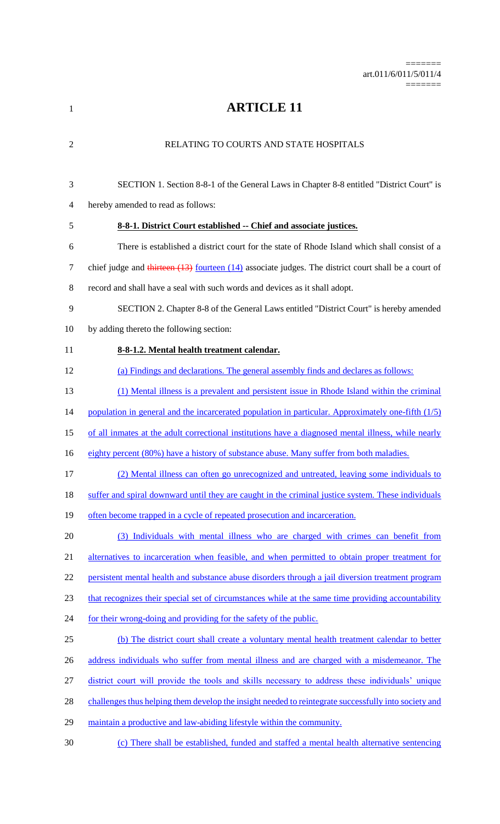**ARTICLE 11** RELATING TO COURTS AND STATE HOSPITALS SECTION 1. Section 8-8-1 of the General Laws in Chapter 8-8 entitled "District Court" is hereby amended to read as follows: **8-8-1. District Court established -- Chief and associate justices.** There is established a district court for the state of Rhode Island which shall consist of a 7 chief judge and thirteen (13) fourteen (14) associate judges. The district court shall be a court of record and shall have a seal with such words and devices as it shall adopt. SECTION 2. Chapter 8-8 of the General Laws entitled "District Court" is hereby amended by adding thereto the following section: **8-8-1.2. Mental health treatment calendar.**  (a) Findings and declarations. The general assembly finds and declares as follows: (1) Mental illness is a prevalent and persistent issue in Rhode Island within the criminal 14 population in general and the incarcerated population in particular. Approximately one-fifth (1/5) 15 of all inmates at the adult correctional institutions have a diagnosed mental illness, while nearly 16 eighty percent (80%) have a history of substance abuse. Many suffer from both maladies. (2) Mental illness can often go unrecognized and untreated, leaving some individuals to suffer and spiral downward until they are caught in the criminal justice system. These individuals 19 often become trapped in a cycle of repeated prosecution and incarceration. (3) Individuals with mental illness who are charged with crimes can benefit from 21 alternatives to incarceration when feasible, and when permitted to obtain proper treatment for persistent mental health and substance abuse disorders through a jail diversion treatment program 23 that recognizes their special set of circumstances while at the same time providing accountability 24 for their wrong-doing and providing for the safety of the public. (b) The district court shall create a voluntary mental health treatment calendar to better 26 address individuals who suffer from mental illness and are charged with a misdemeanor. The district court will provide the tools and skills necessary to address these individuals' unique challenges thus helping them develop the insight needed to reintegrate successfully into society and maintain a productive and law-abiding lifestyle within the community. (c) There shall be established, funded and staffed a mental health alternative sentencing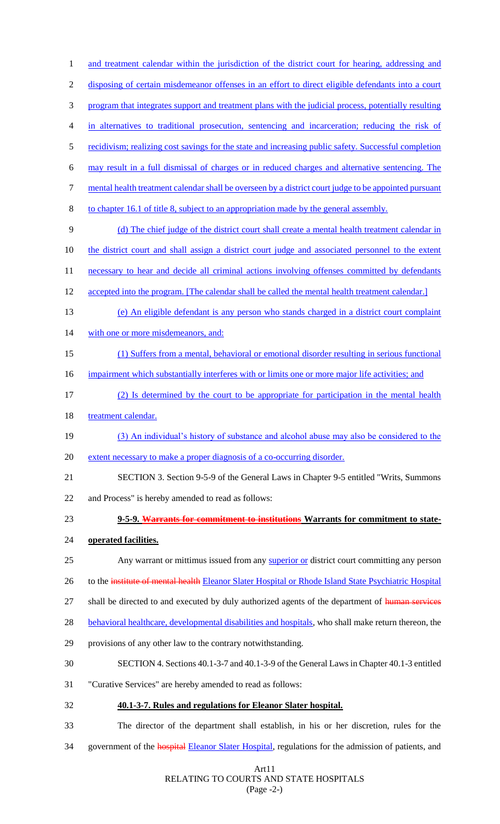1 and treatment calendar within the jurisdiction of the district court for hearing, addressing and disposing of certain misdemeanor offenses in an effort to direct eligible defendants into a court program that integrates support and treatment plans with the judicial process, potentially resulting in alternatives to traditional prosecution, sentencing and incarceration; reducing the risk of 5 recidivism; realizing cost savings for the state and increasing public safety. Successful completion may result in a full dismissal of charges or in reduced charges and alternative sentencing. The mental health treatment calendar shall be overseen by a district court judge to be appointed pursuant to chapter 16.1 of title 8, subject to an appropriation made by the general assembly. (d) The chief judge of the district court shall create a mental health treatment calendar in the district court and shall assign a district court judge and associated personnel to the extent 11 necessary to hear and decide all criminal actions involving offenses committed by defendants 12 accepted into the program. [The calendar shall be called the mental health treatment calendar.] (e) An eligible defendant is any person who stands charged in a district court complaint 14 with one or more misdemeanors, and: (1) Suffers from a mental, behavioral or emotional disorder resulting in serious functional 16 impairment which substantially interferes with or limits one or more major life activities; and (2) Is determined by the court to be appropriate for participation in the mental health 18 treatment calendar. (3) An individual's history of substance and alcohol abuse may also be considered to the extent necessary to make a proper diagnosis of a co-occurring disorder. SECTION 3. Section 9-5-9 of the General Laws in Chapter 9-5 entitled "Writs, Summons and Process" is hereby amended to read as follows: **9-5-9. Warrants for commitment to institutions Warrants for commitment to state- operated facilities.** 25 Any warrant or mittimus issued from any superior or district court committing any person 26 to the institute of mental health Eleanor Slater Hospital or Rhode Island State Psychiatric Hospital 27 shall be directed to and executed by duly authorized agents of the department of human services 28 behavioral healthcare, developmental disabilities and hospitals, who shall make return thereon, the provisions of any other law to the contrary notwithstanding. SECTION 4. Sections 40.1-3-7 and 40.1-3-9 of the General Laws in Chapter 40.1-3 entitled "Curative Services" are hereby amended to read as follows: **40.1-3-7. Rules and regulations for Eleanor Slater hospital.** The director of the department shall establish, in his or her discretion, rules for the 34 government of the **hospital Eleanor Slater Hospital**, regulations for the admission of patients, and

> Art11 RELATING TO COURTS AND STATE HOSPITALS (Page -2-)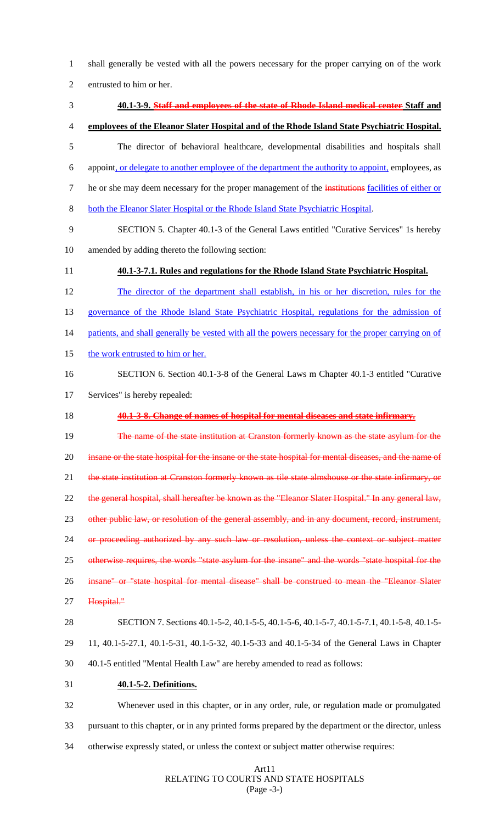1 shall generally be vested with all the powers necessary for the proper carrying on of the work

2 entrusted to him or her.

| 3              | 40.1-3-9. Staff and employees of the state of Rhode Island medical center Staff and                    |
|----------------|--------------------------------------------------------------------------------------------------------|
| $\overline{4}$ | employees of the Eleanor Slater Hospital and of the Rhode Island State Psychiatric Hospital.           |
| 5              | The director of behavioral healthcare, developmental disabilities and hospitals shall                  |
| 6              | appoint, or delegate to another employee of the department the authority to appoint, employees, as     |
| 7              | he or she may deem necessary for the proper management of the institutions facilities of either or     |
| 8              | both the Eleanor Slater Hospital or the Rhode Island State Psychiatric Hospital.                       |
| 9              | SECTION 5. Chapter 40.1-3 of the General Laws entitled "Curative Services" 1s hereby                   |
| 10             | amended by adding thereto the following section:                                                       |
| 11             | 40.1-3-7.1. Rules and regulations for the Rhode Island State Psychiatric Hospital.                     |
| 12             | The director of the department shall establish, in his or her discretion, rules for the                |
| 13             | governance of the Rhode Island State Psychiatric Hospital, regulations for the admission of            |
| 14             | patients, and shall generally be vested with all the powers necessary for the proper carrying on of    |
| 15             | the work entrusted to him or her.                                                                      |
| 16             | SECTION 6. Section 40.1-3-8 of the General Laws m Chapter 40.1-3 entitled "Curative"                   |
| 17             | Services" is hereby repealed:                                                                          |
| 18             | 40.1-3-8. Change of names of hospital for mental diseases and state infirmary.                         |
| 19             | The name of the state institution at Cranston formerly known as the state asylum for the               |
| 20             | insane or the state hospital for the insane or the state hospital for mental diseases, and the name of |
| 21             | the state institution at Cranston formerly known as tile state almshouse or the state infirmary, or    |
| 22             | the general hospital, shall hereafter be known as the "Eleanor Slater Hospital." In any general law,   |
| 23             | other public law, or resolution of the general assembly, and in any document, record, instrument,      |
| 24             | or proceeding authorized by any such law or resolution, unless the context or subject matter           |
| 25             | otherwise requires, the words "state asylum for the insane" and the words "state hospital for the      |
| 26             | insane" or "state hospital for mental disease" shall be construed to mean the "Eleanor Slater          |
| 27             | Hospital."                                                                                             |
| 28             | SECTION 7. Sections 40.1-5-2, 40.1-5-5, 40.1-5-6, 40.1-5-7, 40.1-5-7.1, 40.1-5-8, 40.1-5-              |
| 29             | 11, 40.1-5-27.1, 40.1-5-31, 40.1-5-32, 40.1-5-33 and 40.1-5-34 of the General Laws in Chapter          |
| 30             | 40.1-5 entitled "Mental Health Law" are hereby amended to read as follows:                             |
| 31             | 40.1-5-2. Definitions.                                                                                 |
| 32             | Whenever used in this chapter, or in any order, rule, or regulation made or promulgated                |
| 33             | pursuant to this chapter, or in any printed forms prepared by the department or the director, unless   |
| 34             | otherwise expressly stated, or unless the context or subject matter otherwise requires:                |

## Art11 RELATING TO COURTS AND STATE HOSPITALS (Page -3-)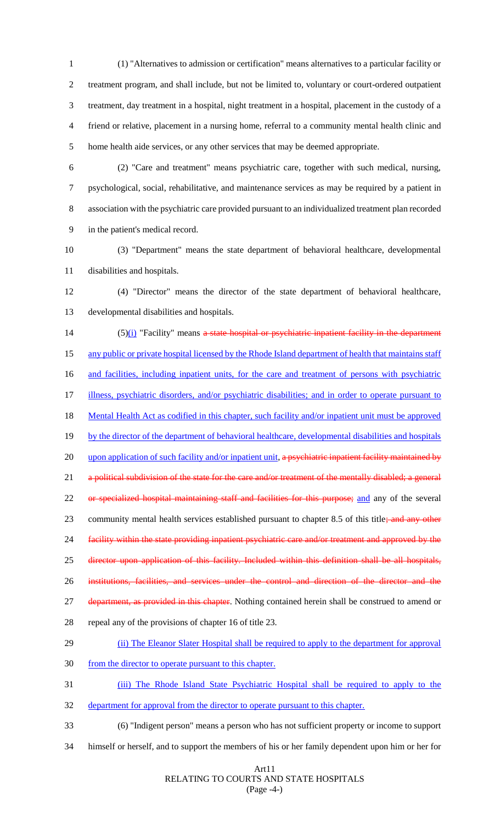(1) "Alternatives to admission or certification" means alternatives to a particular facility or treatment program, and shall include, but not be limited to, voluntary or court-ordered outpatient treatment, day treatment in a hospital, night treatment in a hospital, placement in the custody of a friend or relative, placement in a nursing home, referral to a community mental health clinic and home health aide services, or any other services that may be deemed appropriate.

 (2) "Care and treatment" means psychiatric care, together with such medical, nursing, psychological, social, rehabilitative, and maintenance services as may be required by a patient in association with the psychiatric care provided pursuant to an individualized treatment plan recorded in the patient's medical record.

10 (3) "Department" means the state department of behavioral healthcare, developmental 11 disabilities and hospitals.

12 (4) "Director" means the director of the state department of behavioral healthcare, 13 developmental disabilities and hospitals.

14  $(5)(i)$  "Facility" means a state hospital or psychiatric inpatient facility in the department 15 any public or private hospital licensed by the Rhode Island department of health that maintains staff 16 and facilities, including inpatient units, for the care and treatment of persons with psychiatric 17 illness, psychiatric disorders, and/or psychiatric disabilities; and in order to operate pursuant to 18 Mental Health Act as codified in this chapter, such facility and/or inpatient unit must be approved 19 by the director of the department of behavioral healthcare, developmental disabilities and hospitals 20 upon application of such facility and/or inpatient unit, a psychiatric inpatient facility maintained by 21 a political subdivision of the state for the care and/or treatment of the mentally disabled; a general 22 or specialized hospital maintaining staff and facilities for this purpose; and any of the several 23 community mental health services established pursuant to chapter 8.5 of this title; and any other 24 facility within the state providing inpatient psychiatric care and/or treatment and approved by the 25 director upon application of this facility. Included within this definition shall be all hospitals, 26 institutions, facilities, and services under the control and direction of the director and the 27 department, as provided in this chapter. Nothing contained herein shall be construed to amend or 28 repeal any of the provisions of chapter 16 of title 23. 29 (ii) The Eleanor Slater Hospital shall be required to apply to the department for approval

30 from the director to operate pursuant to this chapter.

31 (iii) The Rhode Island State Psychiatric Hospital shall be required to apply to the

32 department for approval from the director to operate pursuant to this chapter.

- 33 (6) "Indigent person" means a person who has not sufficient property or income to support
- 34 himself or herself, and to support the members of his or her family dependent upon him or her for

#### Art11 RELATING TO COURTS AND STATE HOSPITALS (Page -4-)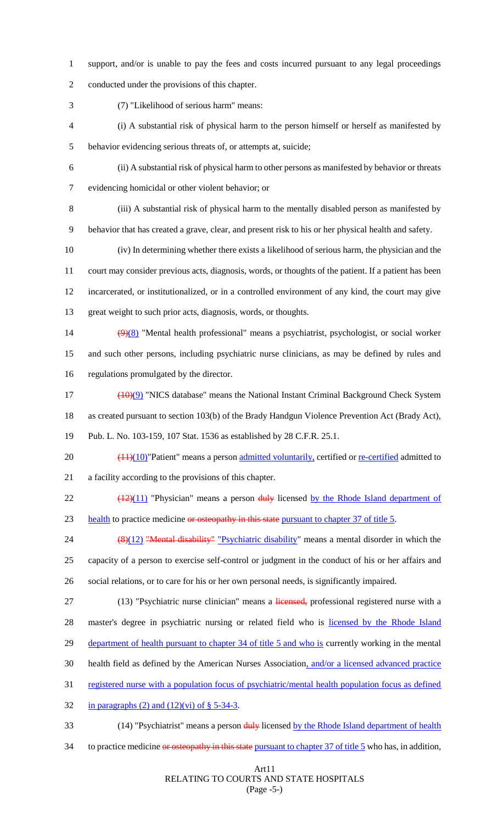- support, and/or is unable to pay the fees and costs incurred pursuant to any legal proceedings conducted under the provisions of this chapter.
- 

(7) "Likelihood of serious harm" means:

- (i) A substantial risk of physical harm to the person himself or herself as manifested by behavior evidencing serious threats of, or attempts at, suicide;
- (ii) A substantial risk of physical harm to other persons as manifested by behavior or threats evidencing homicidal or other violent behavior; or
- (iii) A substantial risk of physical harm to the mentally disabled person as manifested by behavior that has created a grave, clear, and present risk to his or her physical health and safety.
- (iv) In determining whether there exists a likelihood of serious harm, the physician and the court may consider previous acts, diagnosis, words, or thoughts of the patient. If a patient has been incarcerated, or institutionalized, or in a controlled environment of any kind, the court may give great weight to such prior acts, diagnosis, words, or thoughts.
- 14 (9)(8) "Mental health professional" means a psychiatrist, psychologist, or social worker and such other persons, including psychiatric nurse clinicians, as may be defined by rules and regulations promulgated by the director.
- ( $10)(9)$  "NICS database" means the National Instant Criminal Background Check System as created pursuant to section 103(b) of the Brady Handgun Violence Prevention Act (Brady Act),

Pub. L. No. 103-159, 107 Stat. 1536 as established by 28 C.F.R. 25.1.

- 20  $\left(\frac{(11)(10)}{2}\right)$ "Patient" means a person admitted voluntarily, certified or <u>re-certified</u> admitted to a facility according to the provisions of this chapter.
- 22  $\left(\frac{(12)(11)}{2}\right)$  "Physician" means a person  $\frac{du}{v}$  licensed by the Rhode Island department of 23 health to practice medicine or osteopathy in this state pursuant to chapter 37 of title 5.
- 24 (8)(12) "Mental disability" "Psychiatric disability" means a mental disorder in which the capacity of a person to exercise self-control or judgment in the conduct of his or her affairs and social relations, or to care for his or her own personal needs, is significantly impaired.
- 27 (13) "Psychiatric nurse clinician" means a licensed, professional registered nurse with a 28 master's degree in psychiatric nursing or related field who is licensed by the Rhode Island 29 department of health pursuant to chapter 34 of title 5 and who is currently working in the mental health field as defined by the American Nurses Association, and/or a licensed advanced practice
- registered nurse with a population focus of psychiatric/mental health population focus as defined
- 32 in paragraphs  $(2)$  and  $(12)(vi)$  of § 5-34-3.
- 33 (14) "Psychiatrist" means a person duly licensed by the Rhode Island department of health
- 34 to practice medicine or osteopathy in this state pursuant to chapter 37 of title 5 who has, in addition,

#### Art11 RELATING TO COURTS AND STATE HOSPITALS (Page -5-)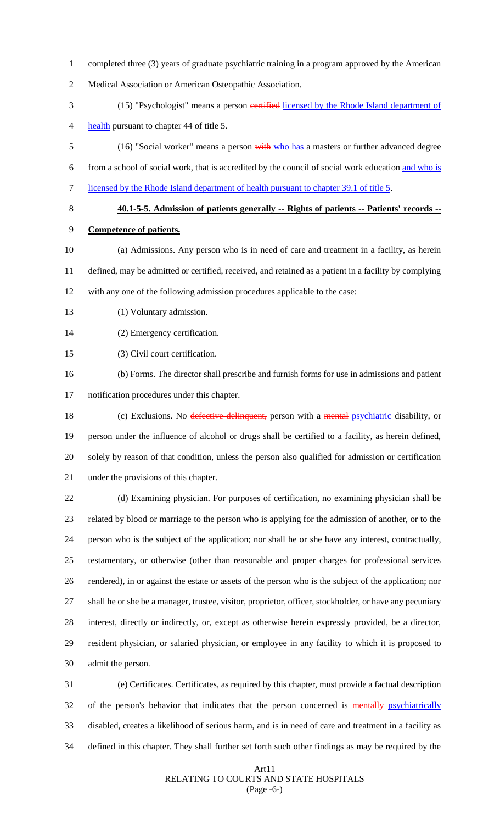- completed three (3) years of graduate psychiatric training in a program approved by the American
- Medical Association or American Osteopathic Association.
- 3 (15) "Psychologist" means a person certified licensed by the Rhode Island department of health pursuant to chapter 44 of title 5.
- 5 (16) "Social worker" means a person with who has a masters or further advanced degree from a school of social work, that is accredited by the council of social work education and who is licensed by the Rhode Island department of health pursuant to chapter 39.1 of title 5.
	-

**40.1-5-5. Admission of patients generally -- Rights of patients -- Patients' records --**

- **Competence of patients.**
- (a) Admissions. Any person who is in need of care and treatment in a facility, as herein defined, may be admitted or certified, received, and retained as a patient in a facility by complying with any one of the following admission procedures applicable to the case:
- 13 (1) Voluntary admission.
- (2) Emergency certification.
- (3) Civil court certification.
- (b) Forms. The director shall prescribe and furnish forms for use in admissions and patient notification procedures under this chapter.
- 18 (c) Exclusions. No defective delinquent, person with a mental psychiatric disability, or person under the influence of alcohol or drugs shall be certified to a facility, as herein defined, solely by reason of that condition, unless the person also qualified for admission or certification under the provisions of this chapter.

 (d) Examining physician. For purposes of certification, no examining physician shall be related by blood or marriage to the person who is applying for the admission of another, or to the person who is the subject of the application; nor shall he or she have any interest, contractually, testamentary, or otherwise (other than reasonable and proper charges for professional services rendered), in or against the estate or assets of the person who is the subject of the application; nor shall he or she be a manager, trustee, visitor, proprietor, officer, stockholder, or have any pecuniary interest, directly or indirectly, or, except as otherwise herein expressly provided, be a director, resident physician, or salaried physician, or employee in any facility to which it is proposed to admit the person.

 (e) Certificates. Certificates, as required by this chapter, must provide a factual description 32 of the person's behavior that indicates that the person concerned is mentally psychiatrically disabled, creates a likelihood of serious harm, and is in need of care and treatment in a facility as defined in this chapter. They shall further set forth such other findings as may be required by the

#### Art11 RELATING TO COURTS AND STATE HOSPITALS (Page -6-)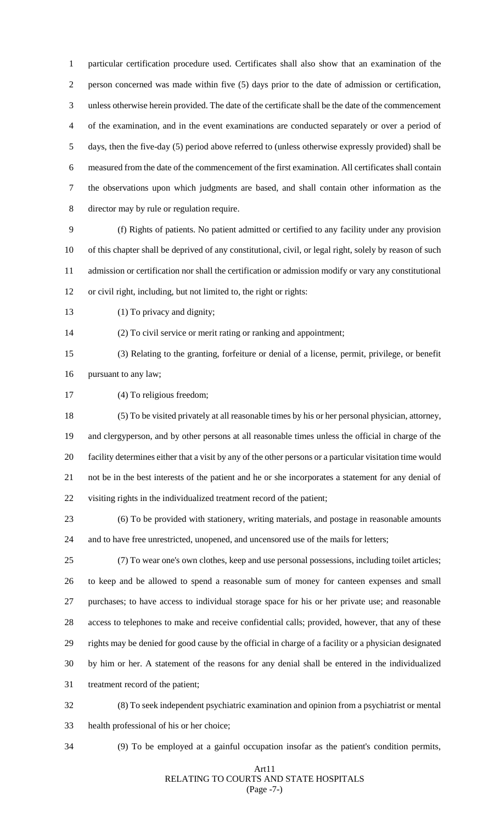particular certification procedure used. Certificates shall also show that an examination of the person concerned was made within five (5) days prior to the date of admission or certification, unless otherwise herein provided. The date of the certificate shall be the date of the commencement of the examination, and in the event examinations are conducted separately or over a period of days, then the five-day (5) period above referred to (unless otherwise expressly provided) shall be measured from the date of the commencement of the first examination. All certificates shall contain the observations upon which judgments are based, and shall contain other information as the director may by rule or regulation require.

 (f) Rights of patients. No patient admitted or certified to any facility under any provision of this chapter shall be deprived of any constitutional, civil, or legal right, solely by reason of such admission or certification nor shall the certification or admission modify or vary any constitutional or civil right, including, but not limited to, the right or rights:

13 (1) To privacy and dignity;

(2) To civil service or merit rating or ranking and appointment;

 (3) Relating to the granting, forfeiture or denial of a license, permit, privilege, or benefit pursuant to any law;

(4) To religious freedom;

 (5) To be visited privately at all reasonable times by his or her personal physician, attorney, and clergyperson, and by other persons at all reasonable times unless the official in charge of the facility determines either that a visit by any of the other persons or a particular visitation time would not be in the best interests of the patient and he or she incorporates a statement for any denial of visiting rights in the individualized treatment record of the patient;

 (6) To be provided with stationery, writing materials, and postage in reasonable amounts and to have free unrestricted, unopened, and uncensored use of the mails for letters;

 (7) To wear one's own clothes, keep and use personal possessions, including toilet articles; to keep and be allowed to spend a reasonable sum of money for canteen expenses and small purchases; to have access to individual storage space for his or her private use; and reasonable access to telephones to make and receive confidential calls; provided, however, that any of these rights may be denied for good cause by the official in charge of a facility or a physician designated by him or her. A statement of the reasons for any denial shall be entered in the individualized treatment record of the patient;

 (8) To seek independent psychiatric examination and opinion from a psychiatrist or mental health professional of his or her choice;

(9) To be employed at a gainful occupation insofar as the patient's condition permits,

#### Art11 RELATING TO COURTS AND STATE HOSPITALS (Page -7-)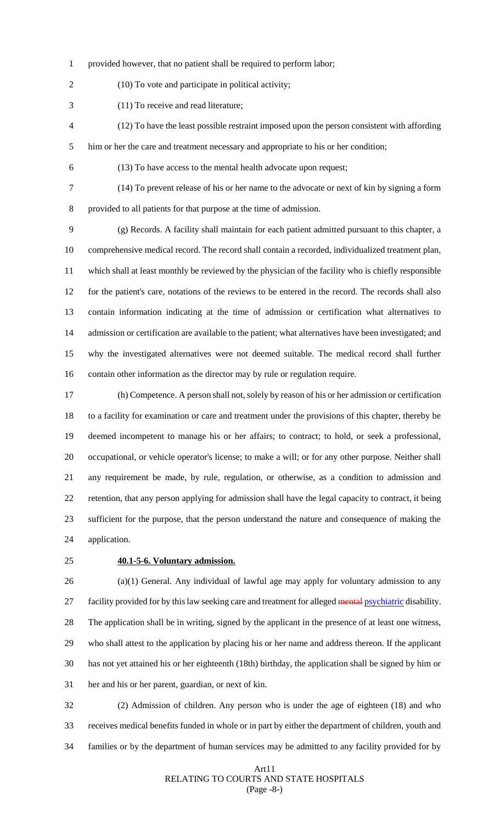provided however, that no patient shall be required to perform labor;

(10) To vote and participate in political activity;

(11) To receive and read literature;

- (12) To have the least possible restraint imposed upon the person consistent with affording him or her the care and treatment necessary and appropriate to his or her condition;
- 

(13) To have access to the mental health advocate upon request;

(14) To prevent release of his or her name to the advocate or next of kin by signing a form

provided to all patients for that purpose at the time of admission.

 (g) Records. A facility shall maintain for each patient admitted pursuant to this chapter, a comprehensive medical record. The record shall contain a recorded, individualized treatment plan, which shall at least monthly be reviewed by the physician of the facility who is chiefly responsible for the patient's care, notations of the reviews to be entered in the record. The records shall also contain information indicating at the time of admission or certification what alternatives to admission or certification are available to the patient; what alternatives have been investigated; and why the investigated alternatives were not deemed suitable. The medical record shall further contain other information as the director may by rule or regulation require.

 (h) Competence. A person shall not, solely by reason of his or her admission or certification to a facility for examination or care and treatment under the provisions of this chapter, thereby be deemed incompetent to manage his or her affairs; to contract; to hold, or seek a professional, occupational, or vehicle operator's license; to make a will; or for any other purpose. Neither shall any requirement be made, by rule, regulation, or otherwise, as a condition to admission and retention, that any person applying for admission shall have the legal capacity to contract, it being sufficient for the purpose, that the person understand the nature and consequence of making the application.

#### **40.1-5-6. Voluntary admission.**

 (a)(1) General. Any individual of lawful age may apply for voluntary admission to any 27 facility provided for by this law seeking care and treatment for alleged mental psychiatric disability. The application shall be in writing, signed by the applicant in the presence of at least one witness, who shall attest to the application by placing his or her name and address thereon. If the applicant has not yet attained his or her eighteenth (18th) birthday, the application shall be signed by him or her and his or her parent, guardian, or next of kin.

 (2) Admission of children. Any person who is under the age of eighteen (18) and who receives medical benefits funded in whole or in part by either the department of children, youth and families or by the department of human services may be admitted to any facility provided for by

#### Art11 RELATING TO COURTS AND STATE HOSPITALS (Page -8-)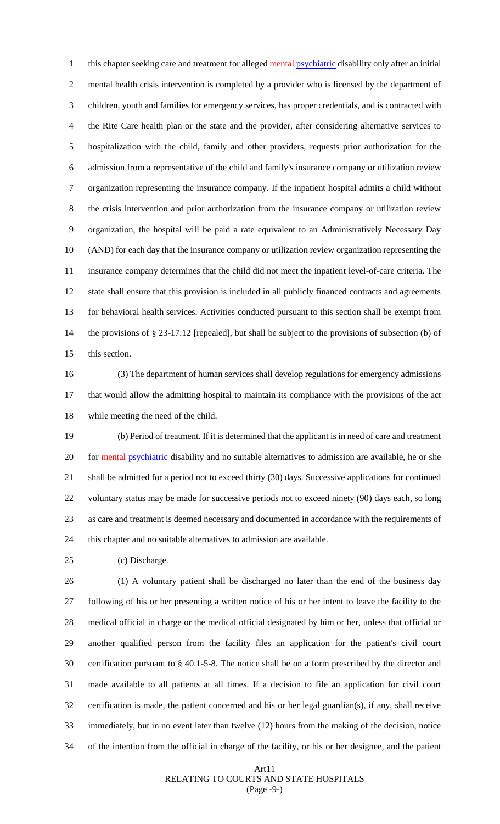1 this chapter seeking care and treatment for alleged mental psychiatric disability only after an initial mental health crisis intervention is completed by a provider who is licensed by the department of children, youth and families for emergency services, has proper credentials, and is contracted with the RIte Care health plan or the state and the provider, after considering alternative services to hospitalization with the child, family and other providers, requests prior authorization for the admission from a representative of the child and family's insurance company or utilization review organization representing the insurance company. If the inpatient hospital admits a child without the crisis intervention and prior authorization from the insurance company or utilization review organization, the hospital will be paid a rate equivalent to an Administratively Necessary Day (AND) for each day that the insurance company or utilization review organization representing the insurance company determines that the child did not meet the inpatient level-of-care criteria. The state shall ensure that this provision is included in all publicly financed contracts and agreements for behavioral health services. Activities conducted pursuant to this section shall be exempt from the provisions of § 23-17.12 [repealed], but shall be subject to the provisions of subsection (b) of this section.

 (3) The department of human services shall develop regulations for emergency admissions that would allow the admitting hospital to maintain its compliance with the provisions of the act while meeting the need of the child.

 (b) Period of treatment. If it is determined that the applicant is in need of care and treatment 20 for mental psychiatric disability and no suitable alternatives to admission are available, he or she shall be admitted for a period not to exceed thirty (30) days. Successive applications for continued voluntary status may be made for successive periods not to exceed ninety (90) days each, so long as care and treatment is deemed necessary and documented in accordance with the requirements of this chapter and no suitable alternatives to admission are available.

(c) Discharge.

 (1) A voluntary patient shall be discharged no later than the end of the business day following of his or her presenting a written notice of his or her intent to leave the facility to the medical official in charge or the medical official designated by him or her, unless that official or another qualified person from the facility files an application for the patient's civil court certification pursuant to § 40.1-5-8. The notice shall be on a form prescribed by the director and made available to all patients at all times. If a decision to file an application for civil court certification is made, the patient concerned and his or her legal guardian(s), if any, shall receive immediately, but in no event later than twelve (12) hours from the making of the decision, notice of the intention from the official in charge of the facility, or his or her designee, and the patient

#### Art11 RELATING TO COURTS AND STATE HOSPITALS (Page -9-)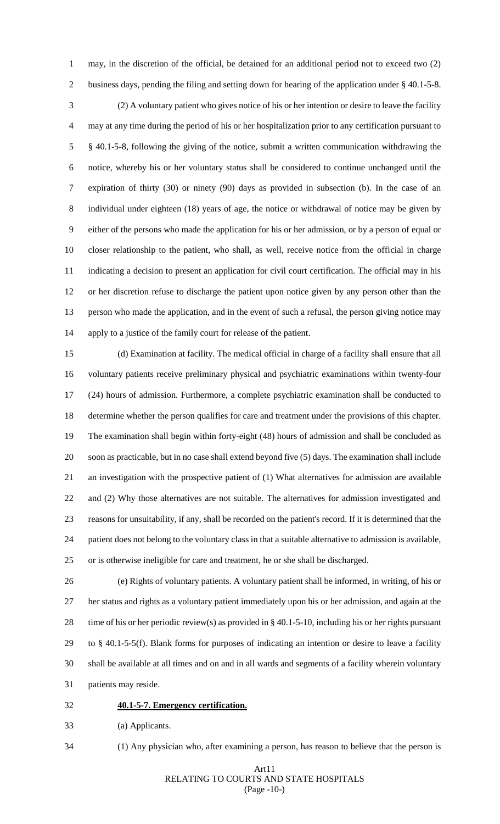business days, pending the filing and setting down for hearing of the application under § 40.1-5-8. (2) A voluntary patient who gives notice of his or her intention or desire to leave the facility may at any time during the period of his or her hospitalization prior to any certification pursuant to § 40.1-5-8, following the giving of the notice, submit a written communication withdrawing the notice, whereby his or her voluntary status shall be considered to continue unchanged until the expiration of thirty (30) or ninety (90) days as provided in subsection (b). In the case of an individual under eighteen (18) years of age, the notice or withdrawal of notice may be given by either of the persons who made the application for his or her admission, or by a person of equal or closer relationship to the patient, who shall, as well, receive notice from the official in charge 11 indicating a decision to present an application for civil court certification. The official may in his or her discretion refuse to discharge the patient upon notice given by any person other than the person who made the application, and in the event of such a refusal, the person giving notice may apply to a justice of the family court for release of the patient.

may, in the discretion of the official, be detained for an additional period not to exceed two (2)

 (d) Examination at facility. The medical official in charge of a facility shall ensure that all voluntary patients receive preliminary physical and psychiatric examinations within twenty-four (24) hours of admission. Furthermore, a complete psychiatric examination shall be conducted to determine whether the person qualifies for care and treatment under the provisions of this chapter. The examination shall begin within forty-eight (48) hours of admission and shall be concluded as soon as practicable, but in no case shall extend beyond five (5) days. The examination shall include an investigation with the prospective patient of (1) What alternatives for admission are available and (2) Why those alternatives are not suitable. The alternatives for admission investigated and reasons for unsuitability, if any, shall be recorded on the patient's record. If it is determined that the patient does not belong to the voluntary class in that a suitable alternative to admission is available, or is otherwise ineligible for care and treatment, he or she shall be discharged.

 (e) Rights of voluntary patients. A voluntary patient shall be informed, in writing, of his or her status and rights as a voluntary patient immediately upon his or her admission, and again at the time of his or her periodic review(s) as provided in § 40.1-5-10, including his or her rights pursuant to § 40.1-5-5(f). Blank forms for purposes of indicating an intention or desire to leave a facility shall be available at all times and on and in all wards and segments of a facility wherein voluntary patients may reside.

#### **40.1-5-7. Emergency certification.**

(a) Applicants.

(1) Any physician who, after examining a person, has reason to believe that the person is

#### Art11 RELATING TO COURTS AND STATE HOSPITALS (Page -10-)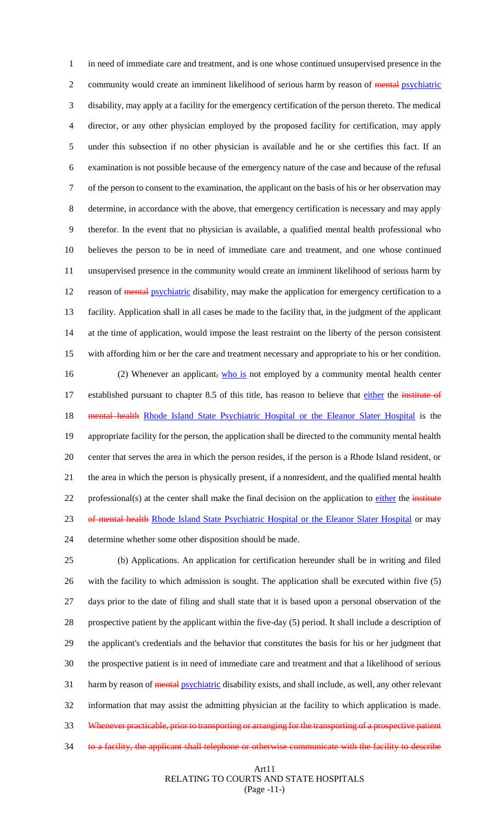in need of immediate care and treatment, and is one whose continued unsupervised presence in the 2 community would create an imminent likelihood of serious harm by reason of mental psychiatric disability, may apply at a facility for the emergency certification of the person thereto. The medical director, or any other physician employed by the proposed facility for certification, may apply under this subsection if no other physician is available and he or she certifies this fact. If an examination is not possible because of the emergency nature of the case and because of the refusal of the person to consent to the examination, the applicant on the basis of his or her observation may determine, in accordance with the above, that emergency certification is necessary and may apply therefor. In the event that no physician is available, a qualified mental health professional who believes the person to be in need of immediate care and treatment, and one whose continued unsupervised presence in the community would create an imminent likelihood of serious harm by 12 reason of mental psychiatric disability, may make the application for emergency certification to a facility. Application shall in all cases be made to the facility that, in the judgment of the applicant at the time of application, would impose the least restraint on the liberty of the person consistent with affording him or her the care and treatment necessary and appropriate to his or her condition. 16 (2) Whenever an applicant, who is not employed by a community mental health center 17 established pursuant to chapter 8.5 of this title, has reason to believe that either the institute of 18 mental health Rhode Island State Psychiatric Hospital or the Eleanor Slater Hospital is the appropriate facility for the person, the application shall be directed to the community mental health center that serves the area in which the person resides, if the person is a Rhode Island resident, or the area in which the person is physically present, if a nonresident, and the qualified mental health

22 professional(s) at the center shall make the final decision on the application to either the institute

23 of mental health Rhode Island State Psychiatric Hospital or the Eleanor Slater Hospital or may

determine whether some other disposition should be made.

 (b) Applications. An application for certification hereunder shall be in writing and filed with the facility to which admission is sought. The application shall be executed within five (5) days prior to the date of filing and shall state that it is based upon a personal observation of the prospective patient by the applicant within the five-day (5) period. It shall include a description of the applicant's credentials and the behavior that constitutes the basis for his or her judgment that the prospective patient is in need of immediate care and treatment and that a likelihood of serious 31 harm by reason of mental psychiatric disability exists, and shall include, as well, any other relevant information that may assist the admitting physician at the facility to which application is made. 33 Whenever practicable, prior to transporting or arranging for the transporting of a prospective patient 34 to a facility, the applicant shall telephone or otherwise communicate with the facility to describe

#### Art11 RELATING TO COURTS AND STATE HOSPITALS (Page -11-)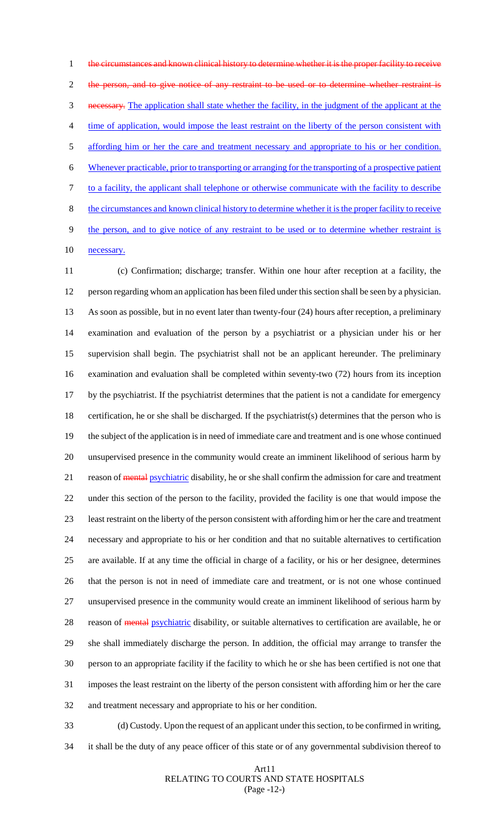1 the circumstances and known clinical history to determine whether it is the proper facility to receive 2 the person, and to give notice of any restraint to be used or to determine whether restraint is necessary. The application shall state whether the facility, in the judgment of the applicant at the time of application, would impose the least restraint on the liberty of the person consistent with 5 affording him or her the care and treatment necessary and appropriate to his or her condition. Whenever practicable, prior to transporting or arranging for the transporting of a prospective patient to a facility, the applicant shall telephone or otherwise communicate with the facility to describe the circumstances and known clinical history to determine whether it is the proper facility to receive 9 the person, and to give notice of any restraint to be used or to determine whether restraint is

10 necessary.

 (c) Confirmation; discharge; transfer. Within one hour after reception at a facility, the person regarding whom an application has been filed under this section shall be seen by a physician. As soon as possible, but in no event later than twenty-four (24) hours after reception, a preliminary examination and evaluation of the person by a psychiatrist or a physician under his or her supervision shall begin. The psychiatrist shall not be an applicant hereunder. The preliminary examination and evaluation shall be completed within seventy-two (72) hours from its inception by the psychiatrist. If the psychiatrist determines that the patient is not a candidate for emergency certification, he or she shall be discharged. If the psychiatrist(s) determines that the person who is the subject of the application is in need of immediate care and treatment and is one whose continued unsupervised presence in the community would create an imminent likelihood of serious harm by 21 reason of mental psychiatric disability, he or she shall confirm the admission for care and treatment under this section of the person to the facility, provided the facility is one that would impose the least restraint on the liberty of the person consistent with affording him or her the care and treatment necessary and appropriate to his or her condition and that no suitable alternatives to certification are available. If at any time the official in charge of a facility, or his or her designee, determines that the person is not in need of immediate care and treatment, or is not one whose continued unsupervised presence in the community would create an imminent likelihood of serious harm by 28 reason of **mental psychiatric** disability, or suitable alternatives to certification are available, he or she shall immediately discharge the person. In addition, the official may arrange to transfer the person to an appropriate facility if the facility to which he or she has been certified is not one that imposes the least restraint on the liberty of the person consistent with affording him or her the care and treatment necessary and appropriate to his or her condition.

- (d) Custody. Upon the request of an applicant under this section, to be confirmed in writing,
- it shall be the duty of any peace officer of this state or of any governmental subdivision thereof to

#### Art11 RELATING TO COURTS AND STATE HOSPITALS (Page -12-)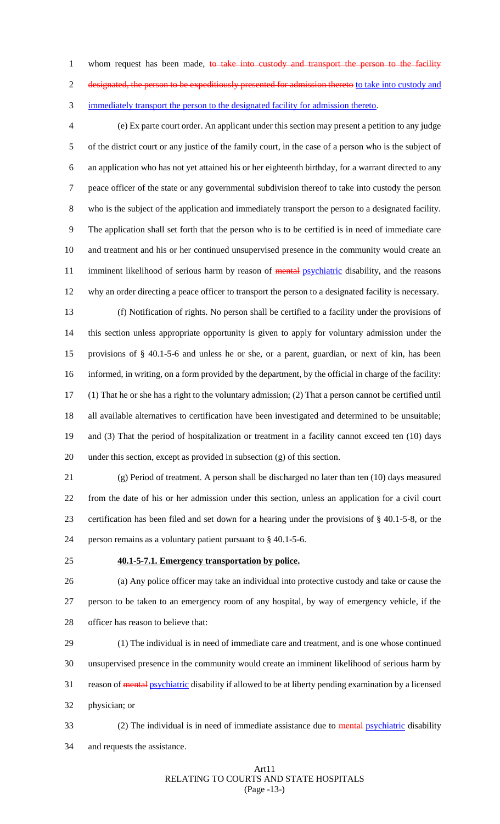1 whom request has been made, to take into custody and transport the person to the facility 2 designated, the person to be expeditiously presented for admission thereto to take into custody and immediately transport the person to the designated facility for admission thereto.

 (e) Ex parte court order. An applicant under this section may present a petition to any judge of the district court or any justice of the family court, in the case of a person who is the subject of an application who has not yet attained his or her eighteenth birthday, for a warrant directed to any peace officer of the state or any governmental subdivision thereof to take into custody the person who is the subject of the application and immediately transport the person to a designated facility. The application shall set forth that the person who is to be certified is in need of immediate care and treatment and his or her continued unsupervised presence in the community would create an 11 imminent likelihood of serious harm by reason of mental psychiatric disability, and the reasons why an order directing a peace officer to transport the person to a designated facility is necessary.

 (f) Notification of rights. No person shall be certified to a facility under the provisions of this section unless appropriate opportunity is given to apply for voluntary admission under the provisions of § 40.1-5-6 and unless he or she, or a parent, guardian, or next of kin, has been informed, in writing, on a form provided by the department, by the official in charge of the facility: (1) That he or she has a right to the voluntary admission; (2) That a person cannot be certified until all available alternatives to certification have been investigated and determined to be unsuitable; and (3) That the period of hospitalization or treatment in a facility cannot exceed ten (10) days under this section, except as provided in subsection (g) of this section.

 (g) Period of treatment. A person shall be discharged no later than ten (10) days measured from the date of his or her admission under this section, unless an application for a civil court certification has been filed and set down for a hearing under the provisions of § 40.1-5-8, or the person remains as a voluntary patient pursuant to § 40.1-5-6.

#### **40.1-5-7.1. Emergency transportation by police.**

 (a) Any police officer may take an individual into protective custody and take or cause the person to be taken to an emergency room of any hospital, by way of emergency vehicle, if the officer has reason to believe that:

 (1) The individual is in need of immediate care and treatment, and is one whose continued unsupervised presence in the community would create an imminent likelihood of serious harm by 31 reason of **mental psychiatric** disability if allowed to be at liberty pending examination by a licensed physician; or

33 (2) The individual is in need of immediate assistance due to mental psychiatric disability and requests the assistance.

#### Art11 RELATING TO COURTS AND STATE HOSPITALS (Page -13-)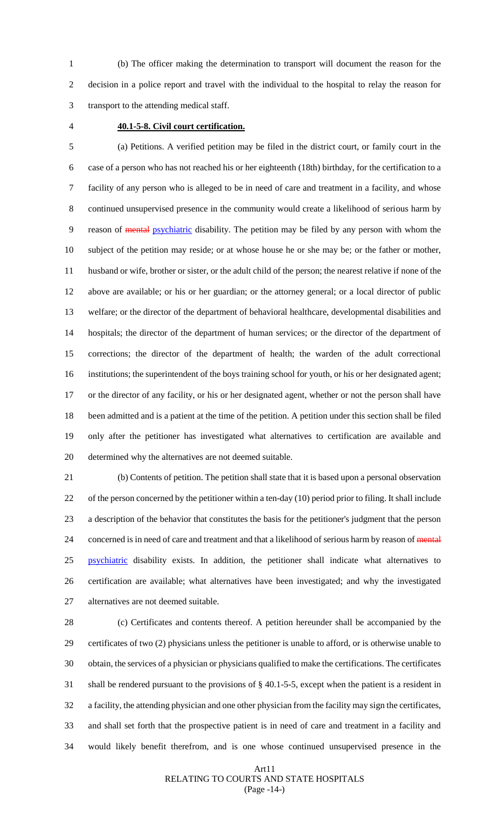(b) The officer making the determination to transport will document the reason for the decision in a police report and travel with the individual to the hospital to relay the reason for transport to the attending medical staff.

## **40.1-5-8. Civil court certification.**

 (a) Petitions. A verified petition may be filed in the district court, or family court in the case of a person who has not reached his or her eighteenth (18th) birthday, for the certification to a facility of any person who is alleged to be in need of care and treatment in a facility, and whose continued unsupervised presence in the community would create a likelihood of serious harm by reason of mental psychiatric disability. The petition may be filed by any person with whom the subject of the petition may reside; or at whose house he or she may be; or the father or mother, husband or wife, brother or sister, or the adult child of the person; the nearest relative if none of the above are available; or his or her guardian; or the attorney general; or a local director of public welfare; or the director of the department of behavioral healthcare, developmental disabilities and hospitals; the director of the department of human services; or the director of the department of corrections; the director of the department of health; the warden of the adult correctional institutions; the superintendent of the boys training school for youth, or his or her designated agent; or the director of any facility, or his or her designated agent, whether or not the person shall have been admitted and is a patient at the time of the petition. A petition under this section shall be filed only after the petitioner has investigated what alternatives to certification are available and determined why the alternatives are not deemed suitable.

 (b) Contents of petition. The petition shall state that it is based upon a personal observation of the person concerned by the petitioner within a ten-day (10) period prior to filing. It shall include a description of the behavior that constitutes the basis for the petitioner's judgment that the person 24 concerned is in need of care and treatment and that a likelihood of serious harm by reason of mental 25 psychiatric disability exists. In addition, the petitioner shall indicate what alternatives to certification are available; what alternatives have been investigated; and why the investigated alternatives are not deemed suitable.

 (c) Certificates and contents thereof. A petition hereunder shall be accompanied by the certificates of two (2) physicians unless the petitioner is unable to afford, or is otherwise unable to obtain, the services of a physician or physicians qualified to make the certifications. The certificates shall be rendered pursuant to the provisions of § 40.1-5-5, except when the patient is a resident in a facility, the attending physician and one other physician from the facility may sign the certificates, and shall set forth that the prospective patient is in need of care and treatment in a facility and would likely benefit therefrom, and is one whose continued unsupervised presence in the

#### Art11 RELATING TO COURTS AND STATE HOSPITALS (Page -14-)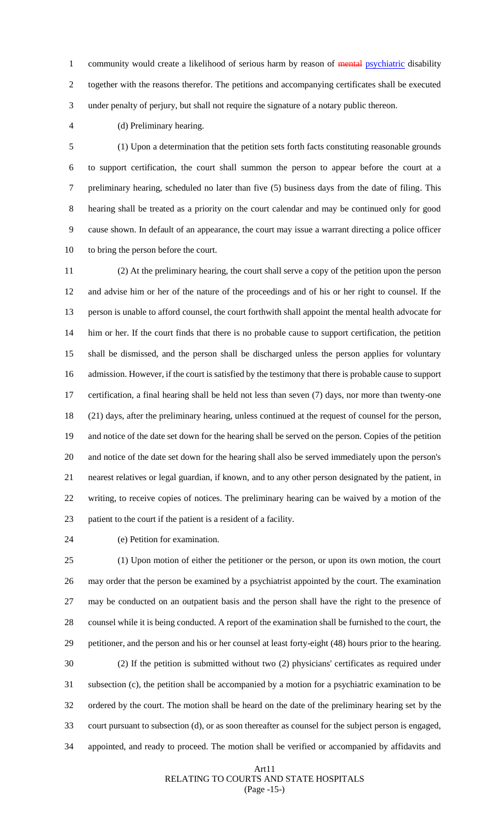1 community would create a likelihood of serious harm by reason of mental psychiatric disability together with the reasons therefor. The petitions and accompanying certificates shall be executed under penalty of perjury, but shall not require the signature of a notary public thereon.

(d) Preliminary hearing.

 (1) Upon a determination that the petition sets forth facts constituting reasonable grounds to support certification, the court shall summon the person to appear before the court at a preliminary hearing, scheduled no later than five (5) business days from the date of filing. This hearing shall be treated as a priority on the court calendar and may be continued only for good cause shown. In default of an appearance, the court may issue a warrant directing a police officer to bring the person before the court.

 (2) At the preliminary hearing, the court shall serve a copy of the petition upon the person and advise him or her of the nature of the proceedings and of his or her right to counsel. If the person is unable to afford counsel, the court forthwith shall appoint the mental health advocate for him or her. If the court finds that there is no probable cause to support certification, the petition shall be dismissed, and the person shall be discharged unless the person applies for voluntary admission. However, if the court is satisfied by the testimony that there is probable cause to support certification, a final hearing shall be held not less than seven (7) days, nor more than twenty-one (21) days, after the preliminary hearing, unless continued at the request of counsel for the person, and notice of the date set down for the hearing shall be served on the person. Copies of the petition and notice of the date set down for the hearing shall also be served immediately upon the person's nearest relatives or legal guardian, if known, and to any other person designated by the patient, in writing, to receive copies of notices. The preliminary hearing can be waived by a motion of the patient to the court if the patient is a resident of a facility.

(e) Petition for examination.

 (1) Upon motion of either the petitioner or the person, or upon its own motion, the court may order that the person be examined by a psychiatrist appointed by the court. The examination may be conducted on an outpatient basis and the person shall have the right to the presence of counsel while it is being conducted. A report of the examination shall be furnished to the court, the petitioner, and the person and his or her counsel at least forty-eight (48) hours prior to the hearing. (2) If the petition is submitted without two (2) physicians' certificates as required under subsection (c), the petition shall be accompanied by a motion for a psychiatric examination to be ordered by the court. The motion shall be heard on the date of the preliminary hearing set by the court pursuant to subsection (d), or as soon thereafter as counsel for the subject person is engaged, appointed, and ready to proceed. The motion shall be verified or accompanied by affidavits and

#### Art11 RELATING TO COURTS AND STATE HOSPITALS (Page -15-)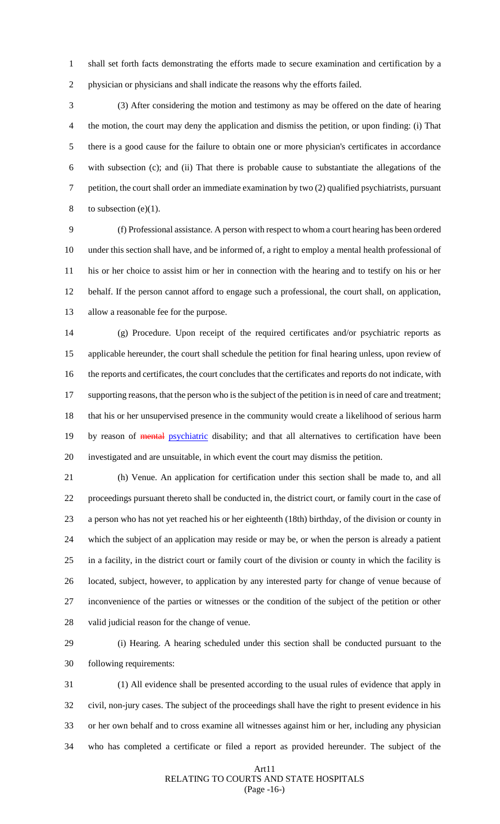shall set forth facts demonstrating the efforts made to secure examination and certification by a physician or physicians and shall indicate the reasons why the efforts failed.

 (3) After considering the motion and testimony as may be offered on the date of hearing the motion, the court may deny the application and dismiss the petition, or upon finding: (i) That there is a good cause for the failure to obtain one or more physician's certificates in accordance with subsection (c); and (ii) That there is probable cause to substantiate the allegations of the petition, the court shall order an immediate examination by two (2) qualified psychiatrists, pursuant 8 to subsection  $(e)(1)$ .

 (f) Professional assistance. A person with respect to whom a court hearing has been ordered under this section shall have, and be informed of, a right to employ a mental health professional of his or her choice to assist him or her in connection with the hearing and to testify on his or her behalf. If the person cannot afford to engage such a professional, the court shall, on application, allow a reasonable fee for the purpose.

 (g) Procedure. Upon receipt of the required certificates and/or psychiatric reports as applicable hereunder, the court shall schedule the petition for final hearing unless, upon review of the reports and certificates, the court concludes that the certificates and reports do not indicate, with 17 supporting reasons, that the person who is the subject of the petition is in need of care and treatment; that his or her unsupervised presence in the community would create a likelihood of serious harm 19 by reason of mental psychiatric disability; and that all alternatives to certification have been investigated and are unsuitable, in which event the court may dismiss the petition.

 (h) Venue. An application for certification under this section shall be made to, and all proceedings pursuant thereto shall be conducted in, the district court, or family court in the case of a person who has not yet reached his or her eighteenth (18th) birthday, of the division or county in which the subject of an application may reside or may be, or when the person is already a patient in a facility, in the district court or family court of the division or county in which the facility is located, subject, however, to application by any interested party for change of venue because of inconvenience of the parties or witnesses or the condition of the subject of the petition or other valid judicial reason for the change of venue.

 (i) Hearing. A hearing scheduled under this section shall be conducted pursuant to the following requirements:

 (1) All evidence shall be presented according to the usual rules of evidence that apply in civil, non-jury cases. The subject of the proceedings shall have the right to present evidence in his or her own behalf and to cross examine all witnesses against him or her, including any physician who has completed a certificate or filed a report as provided hereunder. The subject of the

#### Art11 RELATING TO COURTS AND STATE HOSPITALS (Page -16-)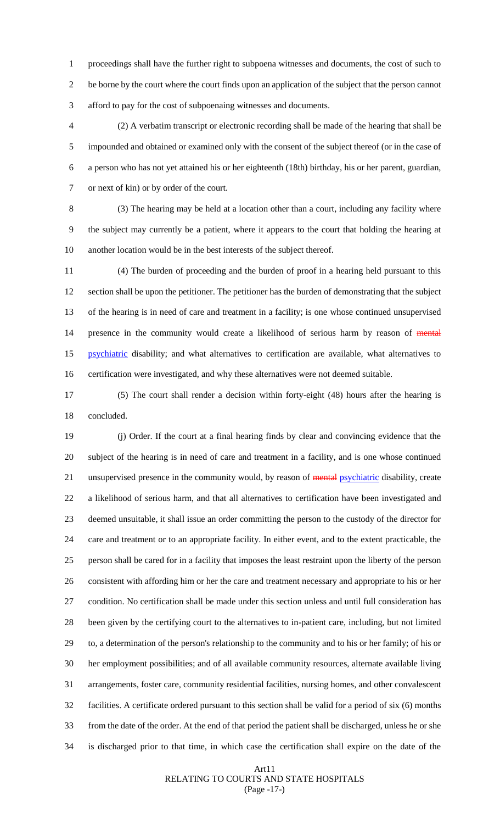proceedings shall have the further right to subpoena witnesses and documents, the cost of such to be borne by the court where the court finds upon an application of the subject that the person cannot afford to pay for the cost of subpoenaing witnesses and documents.

 (2) A verbatim transcript or electronic recording shall be made of the hearing that shall be impounded and obtained or examined only with the consent of the subject thereof (or in the case of a person who has not yet attained his or her eighteenth (18th) birthday, his or her parent, guardian, or next of kin) or by order of the court.

 (3) The hearing may be held at a location other than a court, including any facility where the subject may currently be a patient, where it appears to the court that holding the hearing at another location would be in the best interests of the subject thereof.

 (4) The burden of proceeding and the burden of proof in a hearing held pursuant to this section shall be upon the petitioner. The petitioner has the burden of demonstrating that the subject of the hearing is in need of care and treatment in a facility; is one whose continued unsupervised 14 presence in the community would create a likelihood of serious harm by reason of mental 15 psychiatric disability; and what alternatives to certification are available, what alternatives to certification were investigated, and why these alternatives were not deemed suitable.

 (5) The court shall render a decision within forty-eight (48) hours after the hearing is concluded.

 (j) Order. If the court at a final hearing finds by clear and convincing evidence that the subject of the hearing is in need of care and treatment in a facility, and is one whose continued 21 unsupervised presence in the community would, by reason of mental psychiatric disability, create a likelihood of serious harm, and that all alternatives to certification have been investigated and deemed unsuitable, it shall issue an order committing the person to the custody of the director for care and treatment or to an appropriate facility. In either event, and to the extent practicable, the person shall be cared for in a facility that imposes the least restraint upon the liberty of the person consistent with affording him or her the care and treatment necessary and appropriate to his or her condition. No certification shall be made under this section unless and until full consideration has been given by the certifying court to the alternatives to in-patient care, including, but not limited to, a determination of the person's relationship to the community and to his or her family; of his or her employment possibilities; and of all available community resources, alternate available living arrangements, foster care, community residential facilities, nursing homes, and other convalescent facilities. A certificate ordered pursuant to this section shall be valid for a period of six (6) months from the date of the order. At the end of that period the patient shall be discharged, unless he or she is discharged prior to that time, in which case the certification shall expire on the date of the

#### Art11 RELATING TO COURTS AND STATE HOSPITALS (Page -17-)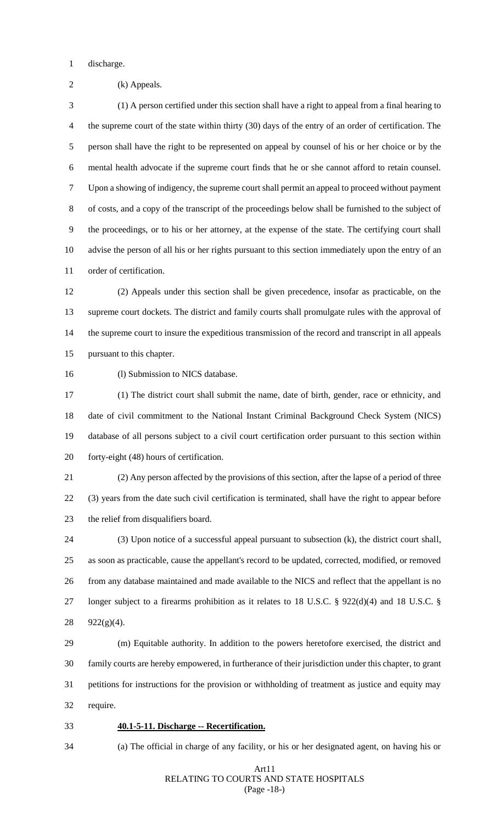discharge.

(k) Appeals.

 (1) A person certified under this section shall have a right to appeal from a final hearing to the supreme court of the state within thirty (30) days of the entry of an order of certification. The person shall have the right to be represented on appeal by counsel of his or her choice or by the mental health advocate if the supreme court finds that he or she cannot afford to retain counsel. Upon a showing of indigency, the supreme court shall permit an appeal to proceed without payment of costs, and a copy of the transcript of the proceedings below shall be furnished to the subject of the proceedings, or to his or her attorney, at the expense of the state. The certifying court shall advise the person of all his or her rights pursuant to this section immediately upon the entry of an order of certification.

 (2) Appeals under this section shall be given precedence, insofar as practicable, on the supreme court dockets. The district and family courts shall promulgate rules with the approval of the supreme court to insure the expeditious transmission of the record and transcript in all appeals pursuant to this chapter.

16 (1) Submission to NICS database.

 (1) The district court shall submit the name, date of birth, gender, race or ethnicity, and date of civil commitment to the National Instant Criminal Background Check System (NICS) database of all persons subject to a civil court certification order pursuant to this section within forty-eight (48) hours of certification.

 (2) Any person affected by the provisions of this section, after the lapse of a period of three (3) years from the date such civil certification is terminated, shall have the right to appear before the relief from disqualifiers board.

 (3) Upon notice of a successful appeal pursuant to subsection (k), the district court shall, as soon as practicable, cause the appellant's record to be updated, corrected, modified, or removed from any database maintained and made available to the NICS and reflect that the appellant is no longer subject to a firearms prohibition as it relates to 18 U.S.C. § 922(d)(4) and 18 U.S.C. § 922(g)(4).

 (m) Equitable authority. In addition to the powers heretofore exercised, the district and family courts are hereby empowered, in furtherance of their jurisdiction under this chapter, to grant petitions for instructions for the provision or withholding of treatment as justice and equity may require.

#### **40.1-5-11. Discharge -- Recertification.**

## (a) The official in charge of any facility, or his or her designated agent, on having his or

#### Art11 RELATING TO COURTS AND STATE HOSPITALS (Page -18-)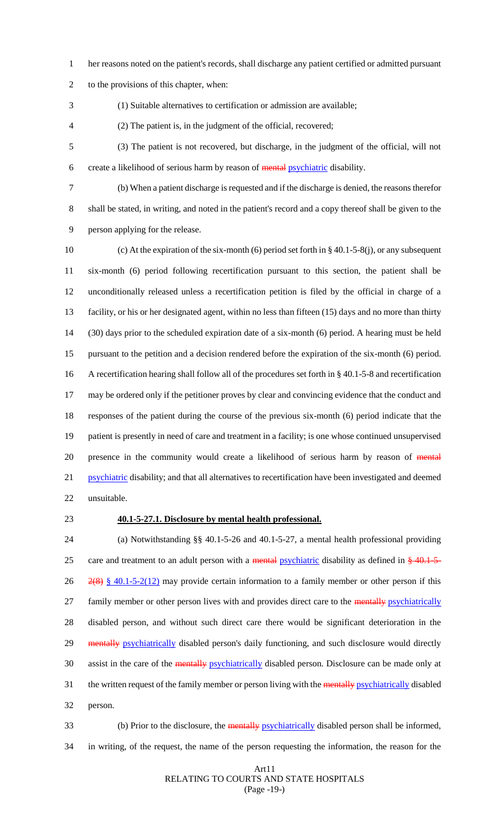- her reasons noted on the patient's records, shall discharge any patient certified or admitted pursuant
- to the provisions of this chapter, when:
- 

(1) Suitable alternatives to certification or admission are available;

- (2) The patient is, in the judgment of the official, recovered;
- (3) The patient is not recovered, but discharge, in the judgment of the official, will not create a likelihood of serious harm by reason of mental psychiatric disability.
- 

 (b) When a patient discharge is requested and if the discharge is denied, the reasons therefor shall be stated, in writing, and noted in the patient's record and a copy thereof shall be given to the person applying for the release.

 (c) At the expiration of the six-month (6) period set forth in § 40.1-5-8(j), or any subsequent six-month (6) period following recertification pursuant to this section, the patient shall be unconditionally released unless a recertification petition is filed by the official in charge of a facility, or his or her designated agent, within no less than fifteen (15) days and no more than thirty (30) days prior to the scheduled expiration date of a six-month (6) period. A hearing must be held pursuant to the petition and a decision rendered before the expiration of the six-month (6) period. A recertification hearing shall follow all of the procedures set forth in § 40.1-5-8 and recertification may be ordered only if the petitioner proves by clear and convincing evidence that the conduct and responses of the patient during the course of the previous six-month (6) period indicate that the patient is presently in need of care and treatment in a facility; is one whose continued unsupervised 20 presence in the community would create a likelihood of serious harm by reason of mental 21 psychiatric disability; and that all alternatives to recertification have been investigated and deemed unsuitable.

## **40.1-5-27.1. Disclosure by mental health professional.**

 (a) Notwithstanding §§ 40.1-5-26 and 40.1-5-27, a mental health professional providing 25 care and treatment to an adult person with a mental psychiatric disability as defined in  $\frac{240.1}{5}$ 26  $\frac{2(8)}{8}$  \frac{\dots} 40.1-5-2(12) may provide certain information to a family member or other person if this 27 family member or other person lives with and provides direct care to the mentally psychiatrically disabled person, and without such direct care there would be significant deterioration in the 29 mentally psychiatrically disabled person's daily functioning, and such disclosure would directly assist in the care of the mentally psychiatrically disabled person. Disclosure can be made only at 31 the written request of the family member or person living with the mentally psychiatrically disabled person.

33 (b) Prior to the disclosure, the mentally psychiatrically disabled person shall be informed, in writing, of the request, the name of the person requesting the information, the reason for the

#### Art11 RELATING TO COURTS AND STATE HOSPITALS (Page -19-)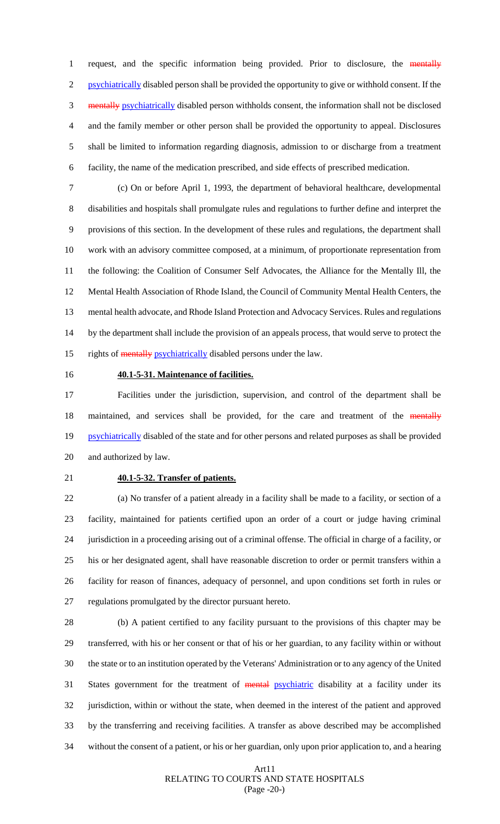1 request, and the specific information being provided. Prior to disclosure, the mentally psychiatrically disabled person shall be provided the opportunity to give or withhold consent. If the mentally psychiatrically disabled person withholds consent, the information shall not be disclosed and the family member or other person shall be provided the opportunity to appeal. Disclosures shall be limited to information regarding diagnosis, admission to or discharge from a treatment facility, the name of the medication prescribed, and side effects of prescribed medication.

 (c) On or before April 1, 1993, the department of behavioral healthcare, developmental disabilities and hospitals shall promulgate rules and regulations to further define and interpret the provisions of this section. In the development of these rules and regulations, the department shall work with an advisory committee composed, at a minimum, of proportionate representation from the following: the Coalition of Consumer Self Advocates, the Alliance for the Mentally Ill, the Mental Health Association of Rhode Island, the Council of Community Mental Health Centers, the mental health advocate, and Rhode Island Protection and Advocacy Services. Rules and regulations by the department shall include the provision of an appeals process, that would serve to protect the 15 rights of mentally psychiatrically disabled persons under the law.

## **40.1-5-31. Maintenance of facilities.**

 Facilities under the jurisdiction, supervision, and control of the department shall be 18 maintained, and services shall be provided, for the care and treatment of the mentally 19 psychiatrically disabled of the state and for other persons and related purposes as shall be provided and authorized by law.

### **40.1-5-32. Transfer of patients.**

 (a) No transfer of a patient already in a facility shall be made to a facility, or section of a facility, maintained for patients certified upon an order of a court or judge having criminal jurisdiction in a proceeding arising out of a criminal offense. The official in charge of a facility, or his or her designated agent, shall have reasonable discretion to order or permit transfers within a facility for reason of finances, adequacy of personnel, and upon conditions set forth in rules or regulations promulgated by the director pursuant hereto.

 (b) A patient certified to any facility pursuant to the provisions of this chapter may be transferred, with his or her consent or that of his or her guardian, to any facility within or without the state or to an institution operated by the Veterans' Administration or to any agency of the United 31 States government for the treatment of mental psychiatric disability at a facility under its jurisdiction, within or without the state, when deemed in the interest of the patient and approved by the transferring and receiving facilities. A transfer as above described may be accomplished without the consent of a patient, or his or her guardian, only upon prior application to, and a hearing

#### Art11 RELATING TO COURTS AND STATE HOSPITALS (Page -20-)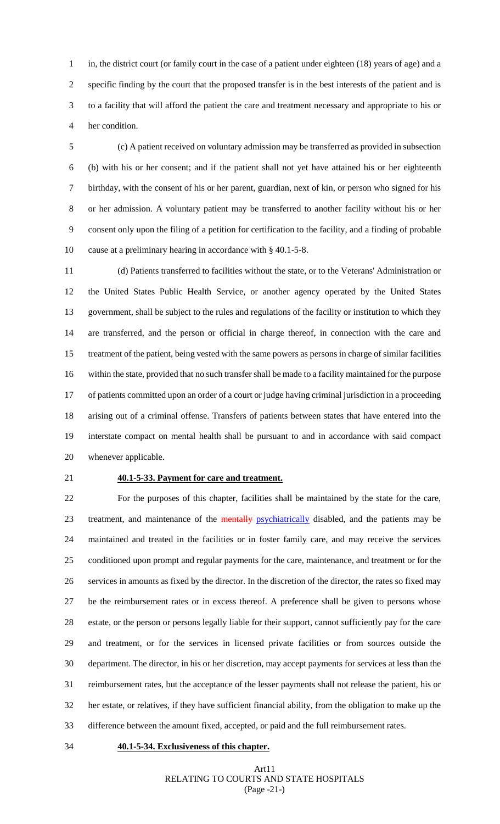in, the district court (or family court in the case of a patient under eighteen (18) years of age) and a specific finding by the court that the proposed transfer is in the best interests of the patient and is to a facility that will afford the patient the care and treatment necessary and appropriate to his or her condition.

 (c) A patient received on voluntary admission may be transferred as provided in subsection (b) with his or her consent; and if the patient shall not yet have attained his or her eighteenth birthday, with the consent of his or her parent, guardian, next of kin, or person who signed for his or her admission. A voluntary patient may be transferred to another facility without his or her consent only upon the filing of a petition for certification to the facility, and a finding of probable cause at a preliminary hearing in accordance with § 40.1-5-8.

 (d) Patients transferred to facilities without the state, or to the Veterans' Administration or the United States Public Health Service, or another agency operated by the United States government, shall be subject to the rules and regulations of the facility or institution to which they are transferred, and the person or official in charge thereof, in connection with the care and treatment of the patient, being vested with the same powers as persons in charge of similar facilities within the state, provided that no such transfer shall be made to a facility maintained for the purpose of patients committed upon an order of a court or judge having criminal jurisdiction in a proceeding arising out of a criminal offense. Transfers of patients between states that have entered into the interstate compact on mental health shall be pursuant to and in accordance with said compact whenever applicable.

#### **40.1-5-33. Payment for care and treatment.**

 For the purposes of this chapter, facilities shall be maintained by the state for the care, 23 treatment, and maintenance of the mentally psychiatrically disabled, and the patients may be maintained and treated in the facilities or in foster family care, and may receive the services conditioned upon prompt and regular payments for the care, maintenance, and treatment or for the services in amounts as fixed by the director. In the discretion of the director, the rates so fixed may be the reimbursement rates or in excess thereof. A preference shall be given to persons whose estate, or the person or persons legally liable for their support, cannot sufficiently pay for the care and treatment, or for the services in licensed private facilities or from sources outside the department. The director, in his or her discretion, may accept payments for services at less than the reimbursement rates, but the acceptance of the lesser payments shall not release the patient, his or her estate, or relatives, if they have sufficient financial ability, from the obligation to make up the difference between the amount fixed, accepted, or paid and the full reimbursement rates.

#### **40.1-5-34. Exclusiveness of this chapter.**

Art11 RELATING TO COURTS AND STATE HOSPITALS (Page -21-)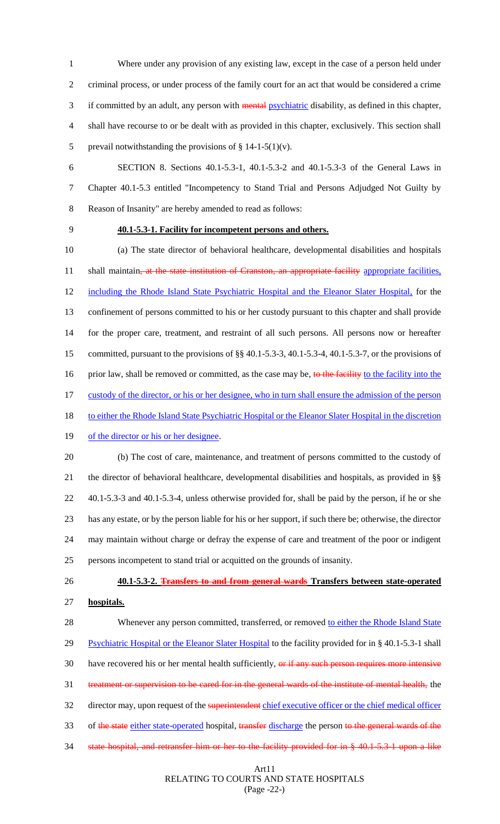Where under any provision of any existing law, except in the case of a person held under criminal process, or under process of the family court for an act that would be considered a crime if committed by an adult, any person with mental psychiatric disability, as defined in this chapter, shall have recourse to or be dealt with as provided in this chapter, exclusively. This section shall 5 prevail notwithstanding the provisions of  $\S 14-1-5(1)(v)$ .

 SECTION 8. Sections 40.1-5.3-1, 40.1-5.3-2 and 40.1-5.3-3 of the General Laws in Chapter 40.1-5.3 entitled "Incompetency to Stand Trial and Persons Adjudged Not Guilty by Reason of Insanity" are hereby amended to read as follows:

#### **40.1-5.3-1. Facility for incompetent persons and others.**

 (a) The state director of behavioral healthcare, developmental disabilities and hospitals 11 shall maintain, at the state institution of Cranston, an appropriate facility appropriate facilities, including the Rhode Island State Psychiatric Hospital and the Eleanor Slater Hospital, for the confinement of persons committed to his or her custody pursuant to this chapter and shall provide for the proper care, treatment, and restraint of all such persons. All persons now or hereafter committed, pursuant to the provisions of §§ 40.1-5.3-3, 40.1-5.3-4, 40.1-5.3-7, or the provisions of 16 prior law, shall be removed or committed, as the case may be, to the facility to the facility into the 17 custody of the director, or his or her designee, who in turn shall ensure the admission of the person 18 to either the Rhode Island State Psychiatric Hospital or the Eleanor Slater Hospital in the discretion 19 of the director or his or her designee. (b) The cost of care, maintenance, and treatment of persons committed to the custody of

 the director of behavioral healthcare, developmental disabilities and hospitals, as provided in §§ 40.1-5.3-3 and 40.1-5.3-4, unless otherwise provided for, shall be paid by the person, if he or she has any estate, or by the person liable for his or her support, if such there be; otherwise, the director may maintain without charge or defray the expense of care and treatment of the poor or indigent persons incompetent to stand trial or acquitted on the grounds of insanity.

# **40.1-5.3-2. Transfers to and from general wards Transfers between state-operated**

**hospitals.**

28 Whenever any person committed, transferred, or removed to either the Rhode Island State 29 Psychiatric Hospital or the Eleanor Slater Hospital to the facility provided for in § 40.1-5.3-1 shall 30 have recovered his or her mental health sufficiently, or if any such person requires more intensive treatment or supervision to be cared for in the general wards of the institute of mental health, the 32 director may, upon request of the superintendent chief executive officer or the chief medical officer 33 of the state either state-operated hospital, transfer discharge the person to the general wards of the state hospital, and retransfer him or her to the facility provided for in § 40.1-5.3-1 upon a like

#### Art11 RELATING TO COURTS AND STATE HOSPITALS (Page -22-)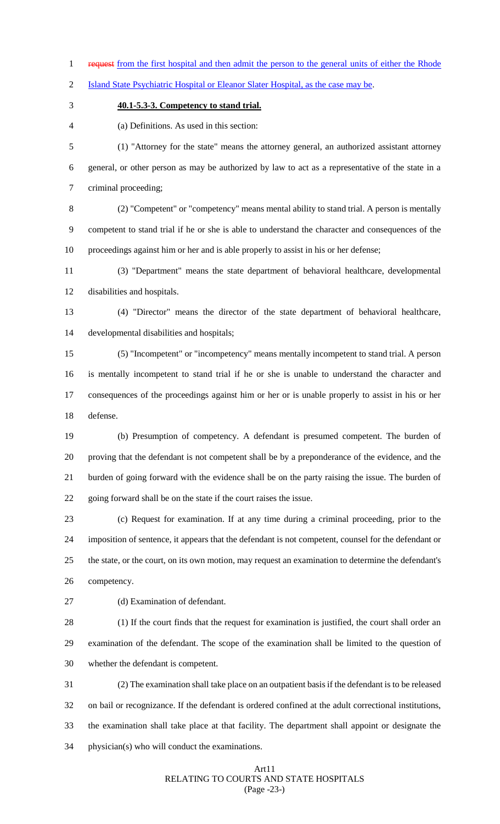1 request from the first hospital and then admit the person to the general units of either the Rhode

Island State Psychiatric Hospital or Eleanor Slater Hospital, as the case may be.

## **40.1-5.3-3. Competency to stand trial.**

(a) Definitions. As used in this section:

 (1) "Attorney for the state" means the attorney general, an authorized assistant attorney general, or other person as may be authorized by law to act as a representative of the state in a criminal proceeding;

 (2) "Competent" or "competency" means mental ability to stand trial. A person is mentally competent to stand trial if he or she is able to understand the character and consequences of the proceedings against him or her and is able properly to assist in his or her defense;

 (3) "Department" means the state department of behavioral healthcare, developmental disabilities and hospitals.

 (4) "Director" means the director of the state department of behavioral healthcare, developmental disabilities and hospitals;

 (5) "Incompetent" or "incompetency" means mentally incompetent to stand trial. A person is mentally incompetent to stand trial if he or she is unable to understand the character and consequences of the proceedings against him or her or is unable properly to assist in his or her defense.

 (b) Presumption of competency. A defendant is presumed competent. The burden of proving that the defendant is not competent shall be by a preponderance of the evidence, and the burden of going forward with the evidence shall be on the party raising the issue. The burden of going forward shall be on the state if the court raises the issue.

 (c) Request for examination. If at any time during a criminal proceeding, prior to the imposition of sentence, it appears that the defendant is not competent, counsel for the defendant or the state, or the court, on its own motion, may request an examination to determine the defendant's competency.

(d) Examination of defendant.

 (1) If the court finds that the request for examination is justified, the court shall order an examination of the defendant. The scope of the examination shall be limited to the question of whether the defendant is competent.

 (2) The examination shall take place on an outpatient basis if the defendant is to be released on bail or recognizance. If the defendant is ordered confined at the adult correctional institutions, the examination shall take place at that facility. The department shall appoint or designate the physician(s) who will conduct the examinations.

#### Art11 RELATING TO COURTS AND STATE HOSPITALS (Page -23-)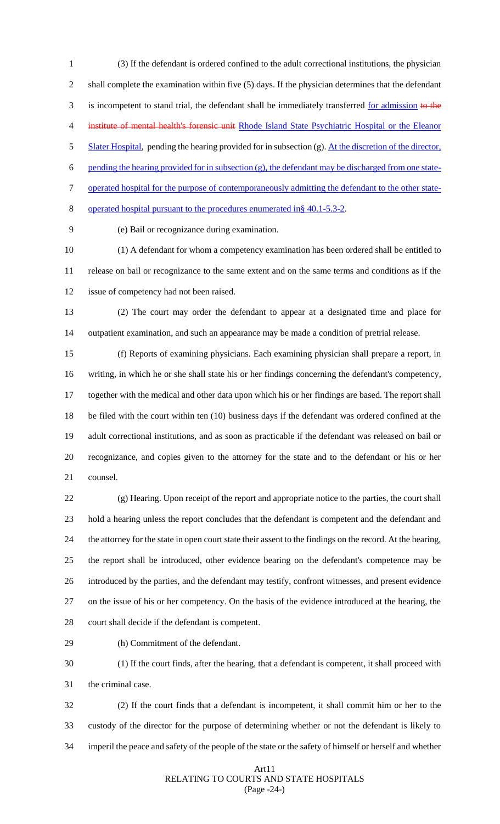(3) If the defendant is ordered confined to the adult correctional institutions, the physician shall complete the examination within five (5) days. If the physician determines that the defendant 3 is incompetent to stand trial, the defendant shall be immediately transferred for admission to the 4 institute of mental health's forensic unit Rhode Island State Psychiatric Hospital or the Eleanor 5 Slater Hospital, pending the hearing provided for in subsection (g). At the discretion of the director, 6 pending the hearing provided for in subsection  $(g)$ , the defendant may be discharged from one state- operated hospital for the purpose of contemporaneously admitting the defendant to the other state-operated hospital pursuant to the procedures enumerated in§ 40.1-5.3-2.

(e) Bail or recognizance during examination.

 (1) A defendant for whom a competency examination has been ordered shall be entitled to release on bail or recognizance to the same extent and on the same terms and conditions as if the issue of competency had not been raised.

 (2) The court may order the defendant to appear at a designated time and place for outpatient examination, and such an appearance may be made a condition of pretrial release.

 (f) Reports of examining physicians. Each examining physician shall prepare a report, in writing, in which he or she shall state his or her findings concerning the defendant's competency, together with the medical and other data upon which his or her findings are based. The report shall be filed with the court within ten (10) business days if the defendant was ordered confined at the adult correctional institutions, and as soon as practicable if the defendant was released on bail or recognizance, and copies given to the attorney for the state and to the defendant or his or her counsel.

 (g) Hearing. Upon receipt of the report and appropriate notice to the parties, the court shall hold a hearing unless the report concludes that the defendant is competent and the defendant and the attorney for the state in open court state their assent to the findings on the record. At the hearing, the report shall be introduced, other evidence bearing on the defendant's competence may be introduced by the parties, and the defendant may testify, confront witnesses, and present evidence on the issue of his or her competency. On the basis of the evidence introduced at the hearing, the court shall decide if the defendant is competent.

(h) Commitment of the defendant.

 (1) If the court finds, after the hearing, that a defendant is competent, it shall proceed with the criminal case.

 (2) If the court finds that a defendant is incompetent, it shall commit him or her to the custody of the director for the purpose of determining whether or not the defendant is likely to imperil the peace and safety of the people of the state or the safety of himself or herself and whether

#### Art11 RELATING TO COURTS AND STATE HOSPITALS (Page -24-)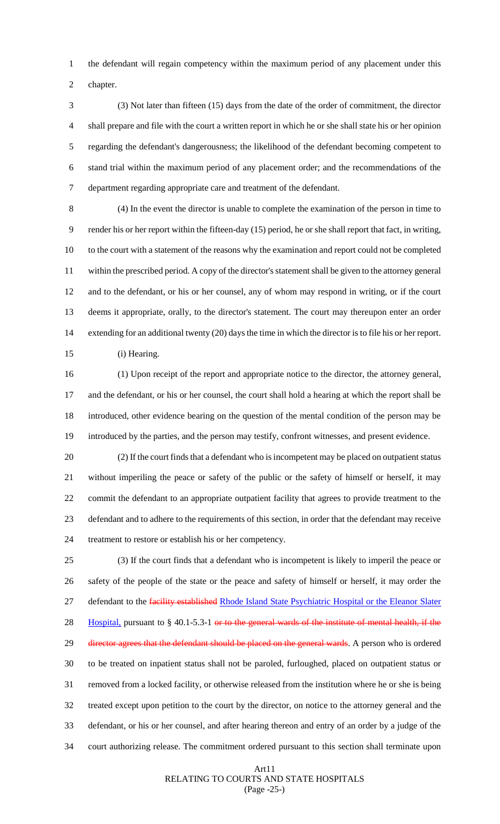the defendant will regain competency within the maximum period of any placement under this chapter.

 (3) Not later than fifteen (15) days from the date of the order of commitment, the director shall prepare and file with the court a written report in which he or she shall state his or her opinion regarding the defendant's dangerousness; the likelihood of the defendant becoming competent to stand trial within the maximum period of any placement order; and the recommendations of the department regarding appropriate care and treatment of the defendant.

 (4) In the event the director is unable to complete the examination of the person in time to render his or her report within the fifteen-day (15) period, he or she shall report that fact, in writing, to the court with a statement of the reasons why the examination and report could not be completed within the prescribed period. A copy of the director's statement shall be given to the attorney general and to the defendant, or his or her counsel, any of whom may respond in writing, or if the court deems it appropriate, orally, to the director's statement. The court may thereupon enter an order extending for an additional twenty (20) days the time in which the director is to file his or her report. (i) Hearing.

 (1) Upon receipt of the report and appropriate notice to the director, the attorney general, and the defendant, or his or her counsel, the court shall hold a hearing at which the report shall be introduced, other evidence bearing on the question of the mental condition of the person may be introduced by the parties, and the person may testify, confront witnesses, and present evidence.

 (2) If the court finds that a defendant who is incompetent may be placed on outpatient status without imperiling the peace or safety of the public or the safety of himself or herself, it may commit the defendant to an appropriate outpatient facility that agrees to provide treatment to the defendant and to adhere to the requirements of this section, in order that the defendant may receive treatment to restore or establish his or her competency.

 (3) If the court finds that a defendant who is incompetent is likely to imperil the peace or safety of the people of the state or the peace and safety of himself or herself, it may order the 27 defendant to the *facility established Rhode Island State Psychiatric Hospital or the Eleanor Slater* 28 Hospital, pursuant to § 40.1-5.3-1 or to the general wards of the institute of mental health, if the 29 director agrees that the defendant should be placed on the general wards. A person who is ordered to be treated on inpatient status shall not be paroled, furloughed, placed on outpatient status or removed from a locked facility, or otherwise released from the institution where he or she is being treated except upon petition to the court by the director, on notice to the attorney general and the defendant, or his or her counsel, and after hearing thereon and entry of an order by a judge of the court authorizing release. The commitment ordered pursuant to this section shall terminate upon

#### Art11 RELATING TO COURTS AND STATE HOSPITALS (Page -25-)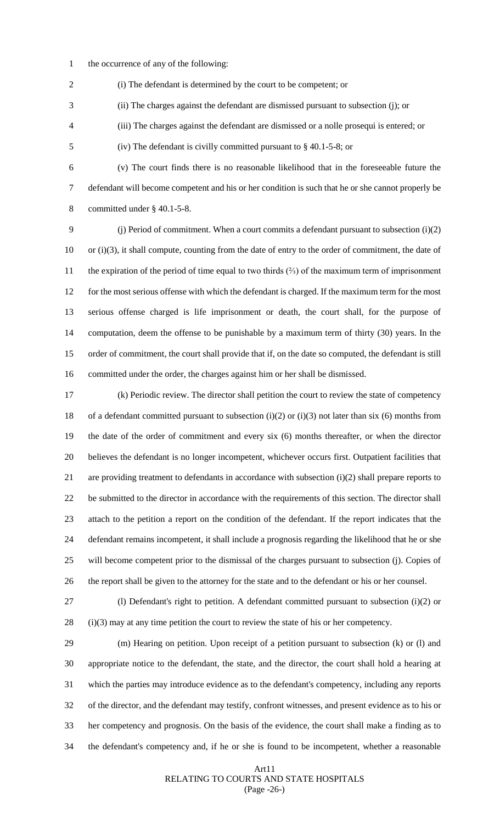the occurrence of any of the following:

(i) The defendant is determined by the court to be competent; or

- (ii) The charges against the defendant are dismissed pursuant to subsection (j); or
- (iii) The charges against the defendant are dismissed or a nolle prosequi is entered; or
- (iv) The defendant is civilly committed pursuant to § 40.1-5-8; or
- (v) The court finds there is no reasonable likelihood that in the foreseeable future the defendant will become competent and his or her condition is such that he or she cannot properly be committed under § 40.1-5-8.

 (j) Period of commitment. When a court commits a defendant pursuant to subsection (i)(2) or (i)(3), it shall compute, counting from the date of entry to the order of commitment, the date of the expiration of the period of time equal to two thirds (⅔) of the maximum term of imprisonment for the most serious offense with which the defendant is charged. If the maximum term for the most serious offense charged is life imprisonment or death, the court shall, for the purpose of computation, deem the offense to be punishable by a maximum term of thirty (30) years. In the order of commitment, the court shall provide that if, on the date so computed, the defendant is still committed under the order, the charges against him or her shall be dismissed.

 (k) Periodic review. The director shall petition the court to review the state of competency of a defendant committed pursuant to subsection (i)(2) or (i)(3) not later than six (6) months from the date of the order of commitment and every six (6) months thereafter, or when the director believes the defendant is no longer incompetent, whichever occurs first. Outpatient facilities that are providing treatment to defendants in accordance with subsection (i)(2) shall prepare reports to be submitted to the director in accordance with the requirements of this section. The director shall attach to the petition a report on the condition of the defendant. If the report indicates that the defendant remains incompetent, it shall include a prognosis regarding the likelihood that he or she will become competent prior to the dismissal of the charges pursuant to subsection (j). Copies of the report shall be given to the attorney for the state and to the defendant or his or her counsel.

 (l) Defendant's right to petition. A defendant committed pursuant to subsection (i)(2) or (i)(3) may at any time petition the court to review the state of his or her competency.

 (m) Hearing on petition. Upon receipt of a petition pursuant to subsection (k) or (l) and appropriate notice to the defendant, the state, and the director, the court shall hold a hearing at which the parties may introduce evidence as to the defendant's competency, including any reports of the director, and the defendant may testify, confront witnesses, and present evidence as to his or her competency and prognosis. On the basis of the evidence, the court shall make a finding as to the defendant's competency and, if he or she is found to be incompetent, whether a reasonable

#### Art11 RELATING TO COURTS AND STATE HOSPITALS (Page -26-)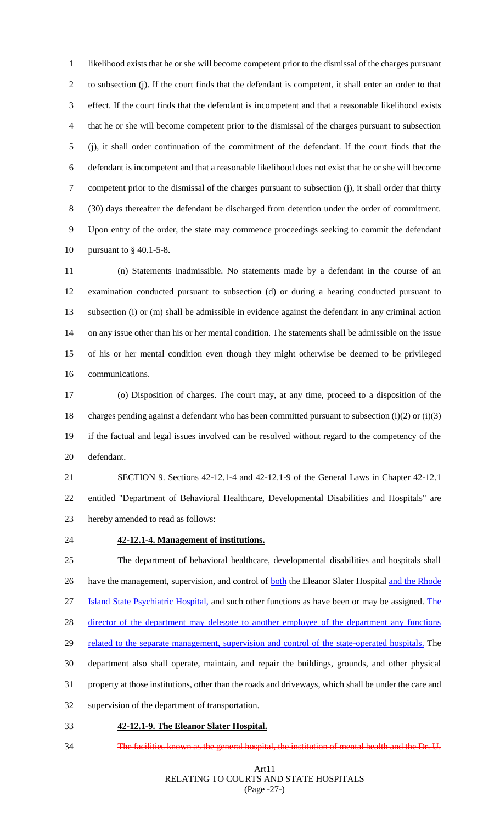likelihood exists that he or she will become competent prior to the dismissal of the charges pursuant to subsection (j). If the court finds that the defendant is competent, it shall enter an order to that effect. If the court finds that the defendant is incompetent and that a reasonable likelihood exists that he or she will become competent prior to the dismissal of the charges pursuant to subsection (j), it shall order continuation of the commitment of the defendant. If the court finds that the defendant is incompetent and that a reasonable likelihood does not exist that he or she will become competent prior to the dismissal of the charges pursuant to subsection (j), it shall order that thirty (30) days thereafter the defendant be discharged from detention under the order of commitment. Upon entry of the order, the state may commence proceedings seeking to commit the defendant pursuant to § 40.1-5-8.

 (n) Statements inadmissible. No statements made by a defendant in the course of an examination conducted pursuant to subsection (d) or during a hearing conducted pursuant to subsection (i) or (m) shall be admissible in evidence against the defendant in any criminal action on any issue other than his or her mental condition. The statements shall be admissible on the issue of his or her mental condition even though they might otherwise be deemed to be privileged communications.

 (o) Disposition of charges. The court may, at any time, proceed to a disposition of the charges pending against a defendant who has been committed pursuant to subsection (i)(2) or (i)(3) if the factual and legal issues involved can be resolved without regard to the competency of the defendant.

 SECTION 9. Sections 42-12.1-4 and 42-12.1-9 of the General Laws in Chapter 42-12.1 entitled "Department of Behavioral Healthcare, Developmental Disabilities and Hospitals" are hereby amended to read as follows:

## **42-12.1-4. Management of institutions.**

 The department of behavioral healthcare, developmental disabilities and hospitals shall 26 have the management, supervision, and control of **both** the Eleanor Slater Hospital and the Rhode Island State Psychiatric Hospital, and such other functions as have been or may be assigned. The 28 director of the department may delegate to another employee of the department any functions 29 related to the separate management, supervision and control of the state-operated hospitals. The department also shall operate, maintain, and repair the buildings, grounds, and other physical property at those institutions, other than the roads and driveways, which shall be under the care and supervision of the department of transportation.

- **42-12.1-9. The Eleanor Slater Hospital.**
- The facilities known as the general hospital, the institution of mental health and the Dr. U.

#### Art11 RELATING TO COURTS AND STATE HOSPITALS (Page -27-)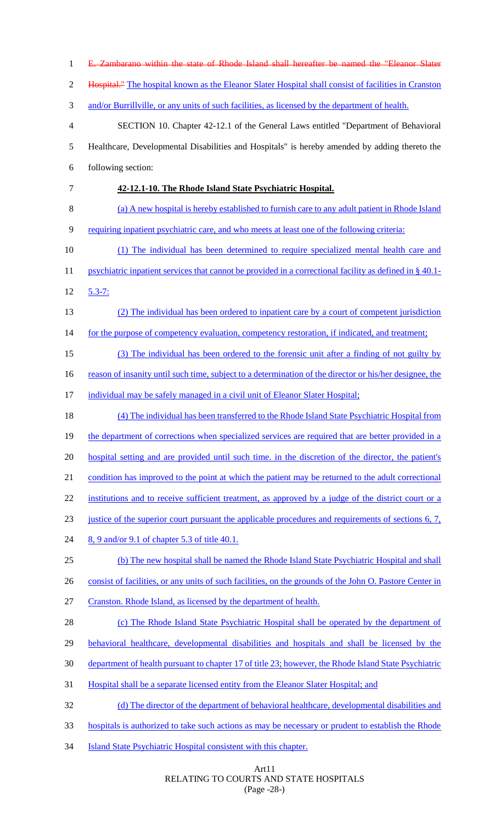E. Zambarano within the state of Rhode Island shall hereafter be named the "Eleanor Slater Hospital." The hospital known as the Eleanor Slater Hospital shall consist of facilities in Cranston 3 and/or Burrillville, or any units of such facilities, as licensed by the department of health. SECTION 10. Chapter 42-12.1 of the General Laws entitled "Department of Behavioral Healthcare, Developmental Disabilities and Hospitals" is hereby amended by adding thereto the following section: **42-12.1-10. The Rhode Island State Psychiatric Hospital.**  (a) A new hospital is hereby established to furnish care to any adult patient in Rhode Island requiring inpatient psychiatric care, and who meets at least one of the following criteria: (1) The individual has been determined to require specialized mental health care and 11 psychiatric inpatient services that cannot be provided in a correctional facility as defined in § 40.1- 5.3-7: (2) The individual has been ordered to inpatient care by a court of competent jurisdiction 14 for the purpose of competency evaluation, competency restoration, if indicated, and treatment; (3) The individual has been ordered to the forensic unit after a finding of not guilty by 16 reason of insanity until such time, subject to a determination of the director or his/her designee, the individual may be safely managed in a civil unit of Eleanor Slater Hospital; (4) The individual has been transferred to the Rhode Island State Psychiatric Hospital from 19 the department of corrections when specialized services are required that are better provided in a 20 hospital setting and are provided until such time. in the discretion of the director, the patient's condition has improved to the point at which the patient may be returned to the adult correctional 22 institutions and to receive sufficient treatment, as approved by a judge of the district court or a justice of the superior court pursuant the applicable procedures and requirements of sections 6, 7, 24 8, 9 and/or 9.1 of chapter 5.3 of title 40.1. (b) The new hospital shall be named the Rhode Island State Psychiatric Hospital and shall 26 consist of facilities, or any units of such facilities, on the grounds of the John O. Pastore Center in Cranston. Rhode Island, as licensed by the department of health. 28 (c) The Rhode Island State Psychiatric Hospital shall be operated by the department of behavioral healthcare, developmental disabilities and hospitals and shall be licensed by the department of health pursuant to chapter 17 of title 23; however, the Rhode Island State Psychiatric Hospital shall be a separate licensed entity from the Eleanor Slater Hospital; and (d) The director of the department of behavioral healthcare, developmental disabilities and hospitals is authorized to take such actions as may be necessary or prudent to establish the Rhode Island State Psychiatric Hospital consistent with this chapter.

#### Art11 RELATING TO COURTS AND STATE HOSPITALS (Page -28-)